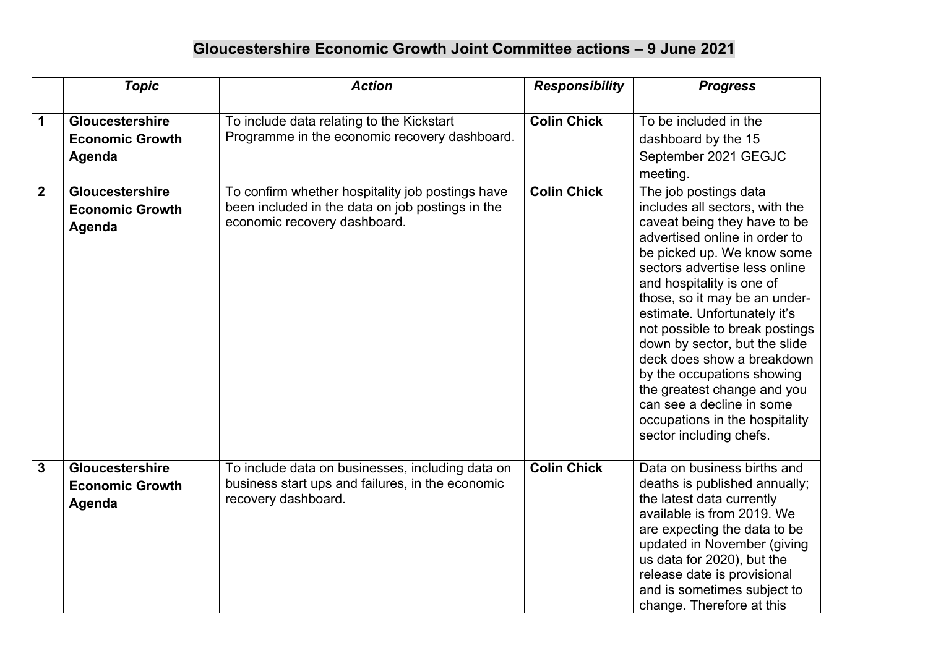## **Gloucestershire Economic Growth Joint Committee actions – 9 June 2021**

|                         | <b>Topic</b>                                        | <b>Action</b>                                                                                                                        | <b>Responsibility</b> | <b>Progress</b>                                                                                                                                                                                                                                                                                                                                                                                                                                                                                                                               |
|-------------------------|-----------------------------------------------------|--------------------------------------------------------------------------------------------------------------------------------------|-----------------------|-----------------------------------------------------------------------------------------------------------------------------------------------------------------------------------------------------------------------------------------------------------------------------------------------------------------------------------------------------------------------------------------------------------------------------------------------------------------------------------------------------------------------------------------------|
| 1                       | Gloucestershire<br><b>Economic Growth</b><br>Agenda | To include data relating to the Kickstart<br>Programme in the economic recovery dashboard.                                           | <b>Colin Chick</b>    | To be included in the<br>dashboard by the 15<br>September 2021 GEGJC<br>meeting.                                                                                                                                                                                                                                                                                                                                                                                                                                                              |
| $\overline{\mathbf{2}}$ | Gloucestershire<br><b>Economic Growth</b><br>Agenda | To confirm whether hospitality job postings have<br>been included in the data on job postings in the<br>economic recovery dashboard. | <b>Colin Chick</b>    | The job postings data<br>includes all sectors, with the<br>caveat being they have to be<br>advertised online in order to<br>be picked up. We know some<br>sectors advertise less online<br>and hospitality is one of<br>those, so it may be an under-<br>estimate. Unfortunately it's<br>not possible to break postings<br>down by sector, but the slide<br>deck does show a breakdown<br>by the occupations showing<br>the greatest change and you<br>can see a decline in some<br>occupations in the hospitality<br>sector including chefs. |
| $\overline{3}$          | Gloucestershire<br><b>Economic Growth</b><br>Agenda | To include data on businesses, including data on<br>business start ups and failures, in the economic<br>recovery dashboard.          | <b>Colin Chick</b>    | Data on business births and<br>deaths is published annually;<br>the latest data currently<br>available is from 2019. We<br>are expecting the data to be<br>updated in November (giving<br>us data for 2020), but the<br>release date is provisional<br>and is sometimes subject to<br>change. Therefore at this                                                                                                                                                                                                                               |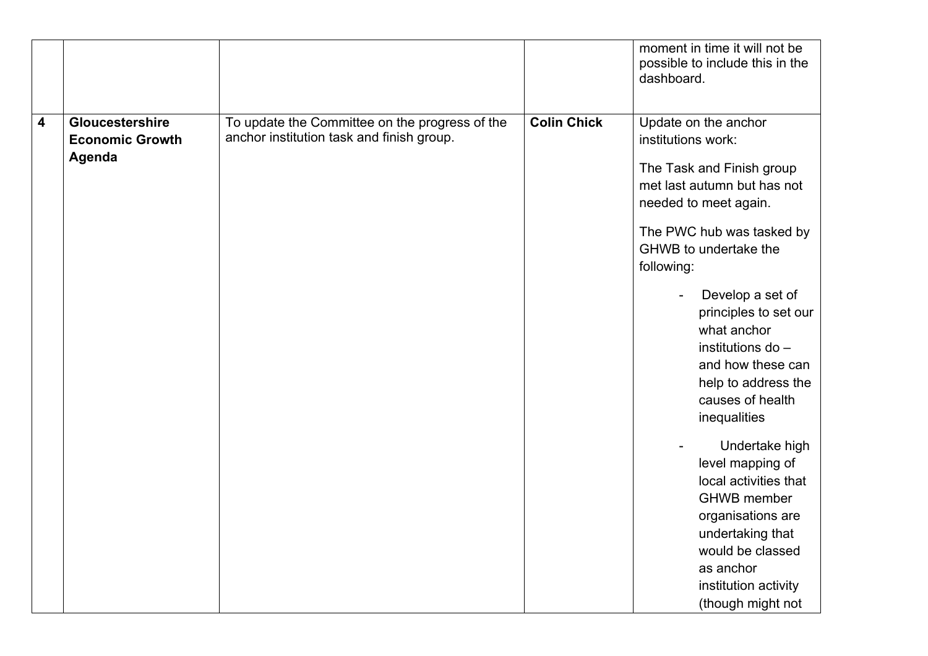|   |                                                     |                                                                                             |                    | moment in time it will not be<br>possible to include this in the<br>dashboard.                                                                                                                                                                                                                                                                                                                                                                                                                                                                                                   |
|---|-----------------------------------------------------|---------------------------------------------------------------------------------------------|--------------------|----------------------------------------------------------------------------------------------------------------------------------------------------------------------------------------------------------------------------------------------------------------------------------------------------------------------------------------------------------------------------------------------------------------------------------------------------------------------------------------------------------------------------------------------------------------------------------|
| 4 | Gloucestershire<br><b>Economic Growth</b><br>Agenda | To update the Committee on the progress of the<br>anchor institution task and finish group. | <b>Colin Chick</b> | Update on the anchor<br>institutions work:<br>The Task and Finish group<br>met last autumn but has not<br>needed to meet again.<br>The PWC hub was tasked by<br>GHWB to undertake the<br>following:<br>Develop a set of<br>principles to set our<br>what anchor<br>institutions do -<br>and how these can<br>help to address the<br>causes of health<br>inequalities<br>Undertake high<br>level mapping of<br>local activities that<br><b>GHWB</b> member<br>organisations are<br>undertaking that<br>would be classed<br>as anchor<br>institution activity<br>(though might not |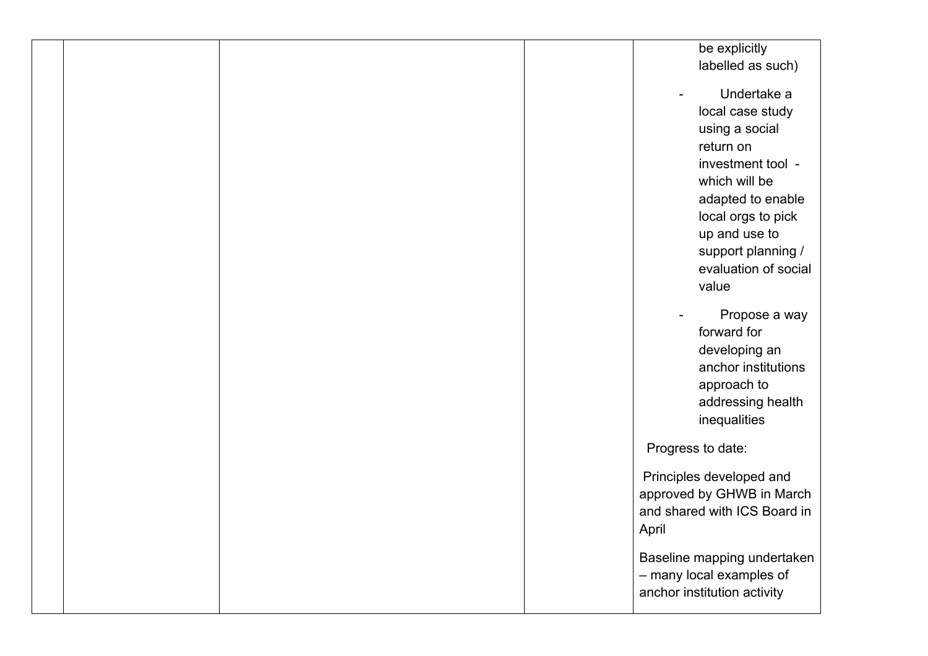|  |  | be explicitly                |
|--|--|------------------------------|
|  |  | labelled as such)            |
|  |  |                              |
|  |  | Undertake a                  |
|  |  | local case study             |
|  |  | using a social               |
|  |  | return on                    |
|  |  | investment tool -            |
|  |  | which will be                |
|  |  | adapted to enable            |
|  |  | local orgs to pick           |
|  |  | up and use to                |
|  |  | support planning /           |
|  |  | evaluation of social         |
|  |  | value                        |
|  |  | Propose a way                |
|  |  | forward for                  |
|  |  | developing an                |
|  |  | anchor institutions          |
|  |  | approach to                  |
|  |  | addressing health            |
|  |  | inequalities                 |
|  |  |                              |
|  |  | Progress to date:            |
|  |  | Principles developed and     |
|  |  | approved by GHWB in March    |
|  |  | and shared with ICS Board in |
|  |  | April                        |
|  |  | Baseline mapping undertaken  |
|  |  | - many local examples of     |
|  |  | anchor institution activity  |
|  |  |                              |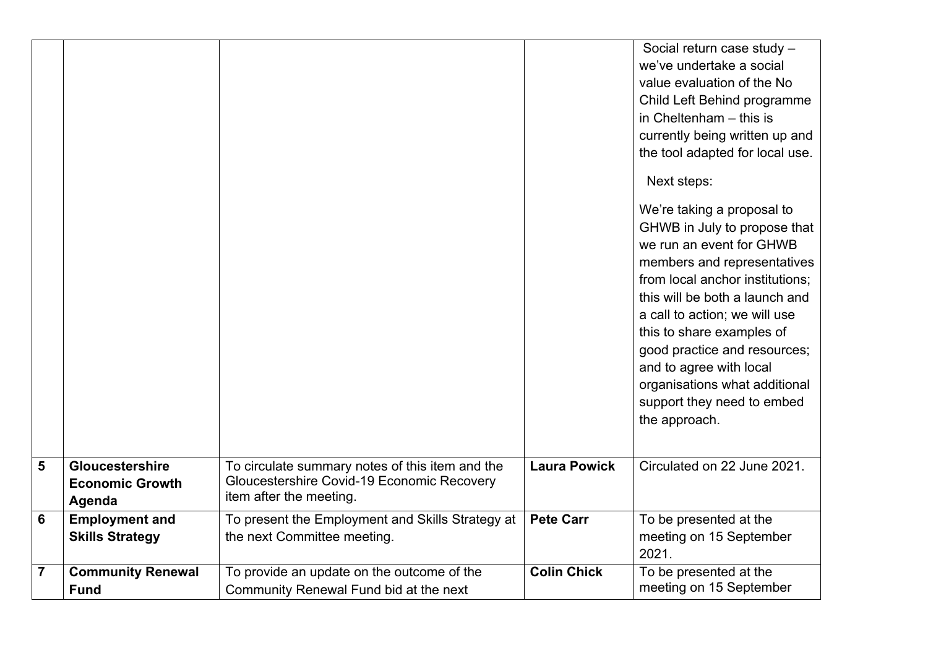|                |                                                     |                                                                                                                          |                     | Social return case study -<br>we've undertake a social<br>value evaluation of the No<br>Child Left Behind programme<br>in Cheltenham - this is<br>currently being written up and<br>the tool adapted for local use.<br>Next steps:<br>We're taking a proposal to<br>GHWB in July to propose that<br>we run an event for GHWB<br>members and representatives<br>from local anchor institutions;<br>this will be both a launch and<br>a call to action; we will use<br>this to share examples of<br>good practice and resources;<br>and to agree with local<br>organisations what additional<br>support they need to embed<br>the approach. |
|----------------|-----------------------------------------------------|--------------------------------------------------------------------------------------------------------------------------|---------------------|-------------------------------------------------------------------------------------------------------------------------------------------------------------------------------------------------------------------------------------------------------------------------------------------------------------------------------------------------------------------------------------------------------------------------------------------------------------------------------------------------------------------------------------------------------------------------------------------------------------------------------------------|
| 5              | Gloucestershire<br><b>Economic Growth</b><br>Agenda | To circulate summary notes of this item and the<br>Gloucestershire Covid-19 Economic Recovery<br>item after the meeting. | <b>Laura Powick</b> | Circulated on 22 June 2021.                                                                                                                                                                                                                                                                                                                                                                                                                                                                                                                                                                                                               |
| 6              | <b>Employment and</b><br><b>Skills Strategy</b>     | To present the Employment and Skills Strategy at<br>the next Committee meeting.                                          | <b>Pete Carr</b>    | To be presented at the<br>meeting on 15 September<br>2021.                                                                                                                                                                                                                                                                                                                                                                                                                                                                                                                                                                                |
| $\overline{7}$ | <b>Community Renewal</b><br><b>Fund</b>             | To provide an update on the outcome of the<br>Community Renewal Fund bid at the next                                     | <b>Colin Chick</b>  | To be presented at the<br>meeting on 15 September                                                                                                                                                                                                                                                                                                                                                                                                                                                                                                                                                                                         |